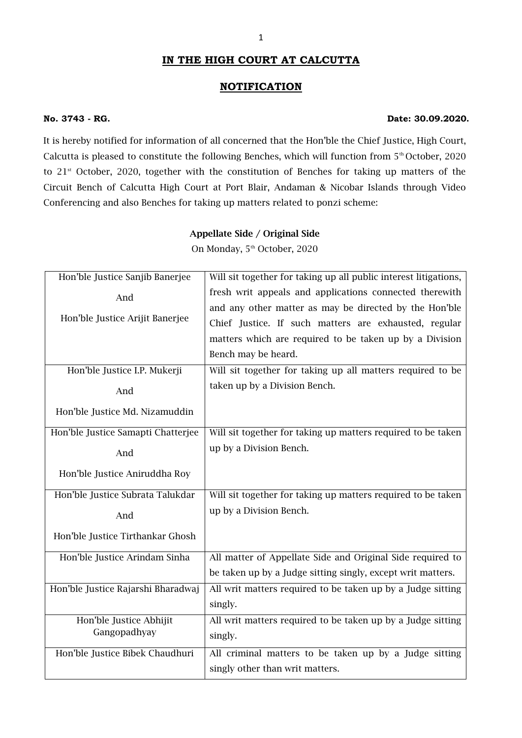## 1

### **IN THE HIGH COURT AT CALCUTTA**

#### **NOTIFICATION**

#### **No. 3743 - RG. Date: 30.09.2020.**

It is hereby notified for information of all concerned that the Hon'ble the Chief Justice, High Court, Calcutta is pleased to constitute the following Benches, which will function from 5<sup>th</sup> October, 2020 to 21<sup>st</sup> October, 2020, together with the constitution of Benches for taking up matters of the Circuit Bench of Calcutta High Court at Port Blair, Andaman & Nicobar Islands through Video Conferencing and also Benches for taking up matters related to ponzi scheme:

#### **Appellate Side / Original Side**

On Monday, 5<sup>th</sup> October, 2020

| Hon'ble Justice Sanjib Banerjee    | Will sit together for taking up all public interest litigations, |
|------------------------------------|------------------------------------------------------------------|
| And                                | fresh writ appeals and applications connected therewith          |
|                                    | and any other matter as may be directed by the Hon'ble           |
| Hon'ble Justice Arijit Banerjee    | Chief Justice. If such matters are exhausted, regular            |
|                                    | matters which are required to be taken up by a Division          |
|                                    | Bench may be heard.                                              |
| Hon'ble Justice I.P. Mukerji       | Will sit together for taking up all matters required to be       |
| And                                | taken up by a Division Bench.                                    |
| Hon'ble Justice Md. Nizamuddin     |                                                                  |
| Hon'ble Justice Samapti Chatterjee | Will sit together for taking up matters required to be taken     |
| And                                | up by a Division Bench.                                          |
| Hon'ble Justice Aniruddha Roy      |                                                                  |
| Hon'ble Justice Subrata Talukdar   | Will sit together for taking up matters required to be taken     |
| And                                | up by a Division Bench.                                          |
| Hon'ble Justice Tirthankar Ghosh   |                                                                  |
| Hon'ble Justice Arindam Sinha      | All matter of Appellate Side and Original Side required to       |
|                                    | be taken up by a Judge sitting singly, except writ matters.      |
| Hon'ble Justice Rajarshi Bharadwaj | All writ matters required to be taken up by a Judge sitting      |
|                                    | singly.                                                          |
| Hon'ble Justice Abhijit            | All writ matters required to be taken up by a Judge sitting      |
| Gangopadhyay                       | singly.                                                          |
| Hon'ble Justice Bibek Chaudhuri    | All criminal matters to be taken up by a Judge sitting           |
|                                    | singly other than writ matters.                                  |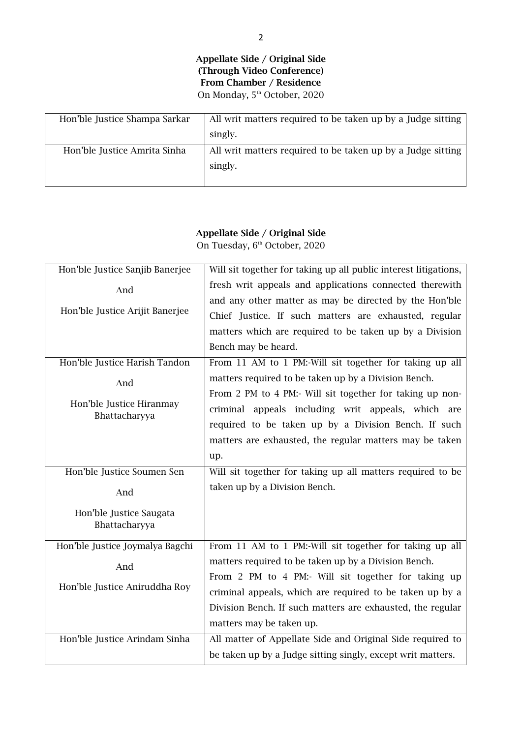**Appellate Side / Original Side (Through Video Conference) From Chamber / Residence** On Monday, 5<sup>th</sup> October, 2020

| Hon'ble Justice Shampa Sarkar | All writ matters required to be taken up by a Judge sitting |
|-------------------------------|-------------------------------------------------------------|
|                               | singly.                                                     |
| Hon'ble Justice Amrita Sinha  | All writ matters required to be taken up by a Judge sitting |
|                               | singly.                                                     |
|                               |                                                             |

## **Appellate Side / Original Side** On Tuesday, 6<sup>th</sup> October, 2020

| Hon'ble Justice Sanjib Banerjee | Will sit together for taking up all public interest litigations, |  |  |  |  |  |
|---------------------------------|------------------------------------------------------------------|--|--|--|--|--|
| And                             | fresh writ appeals and applications connected therewith          |  |  |  |  |  |
|                                 | and any other matter as may be directed by the Hon'ble           |  |  |  |  |  |
| Hon'ble Justice Arijit Banerjee | Chief Justice. If such matters are exhausted, regular            |  |  |  |  |  |
|                                 | matters which are required to be taken up by a Division          |  |  |  |  |  |
|                                 | Bench may be heard.                                              |  |  |  |  |  |
| Hon'ble Justice Harish Tandon   | From 11 AM to 1 PM:-Will sit together for taking up all          |  |  |  |  |  |
| And                             | matters required to be taken up by a Division Bench.             |  |  |  |  |  |
|                                 | From 2 PM to 4 PM:- Will sit together for taking up non-         |  |  |  |  |  |
| Hon'ble Justice Hiranmay        | criminal appeals including writ appeals, which are               |  |  |  |  |  |
| Bhattacharyya                   | required to be taken up by a Division Bench. If such             |  |  |  |  |  |
|                                 | matters are exhausted, the regular matters may be taken          |  |  |  |  |  |
|                                 | up.                                                              |  |  |  |  |  |
| Hon'ble Justice Soumen Sen      | Will sit together for taking up all matters required to be       |  |  |  |  |  |
| And                             | taken up by a Division Bench.                                    |  |  |  |  |  |
| Hon'ble Justice Saugata         |                                                                  |  |  |  |  |  |
| Bhattacharyya                   |                                                                  |  |  |  |  |  |
| Hon'ble Justice Joymalya Bagchi | From 11 AM to 1 PM:-Will sit together for taking up all          |  |  |  |  |  |
|                                 | matters required to be taken up by a Division Bench.             |  |  |  |  |  |
| And                             | From 2 PM to 4 PM:- Will sit together for taking up              |  |  |  |  |  |
| Hon'ble Justice Aniruddha Roy   | criminal appeals, which are required to be taken up by a         |  |  |  |  |  |
|                                 |                                                                  |  |  |  |  |  |
|                                 | Division Bench. If such matters are exhausted, the regular       |  |  |  |  |  |
|                                 | matters may be taken up.                                         |  |  |  |  |  |
| Hon'ble Justice Arindam Sinha   | All matter of Appellate Side and Original Side required to       |  |  |  |  |  |
|                                 | be taken up by a Judge sitting singly, except writ matters.      |  |  |  |  |  |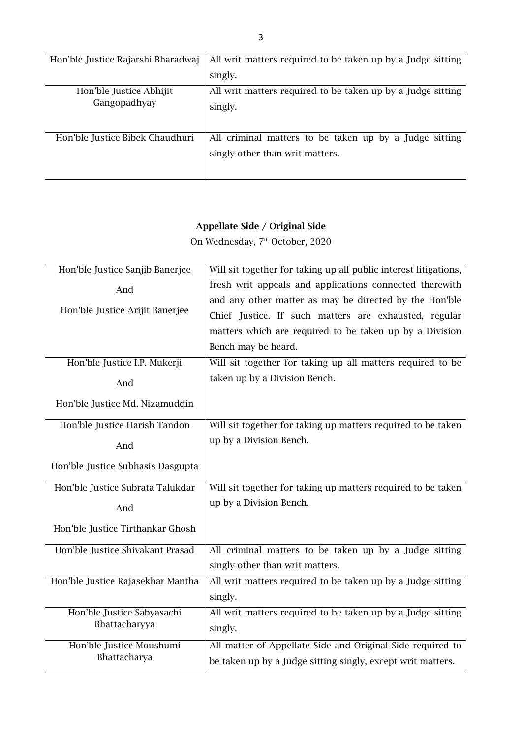| Hon'ble Justice Rajarshi Bharadwaj | All writ matters required to be taken up by a Judge sitting |
|------------------------------------|-------------------------------------------------------------|
|                                    | singly.                                                     |
| Hon'ble Justice Abhijit            | All writ matters required to be taken up by a Judge sitting |
| Gangopadhyay                       | singly.                                                     |
|                                    |                                                             |
| Hon'ble Justice Bibek Chaudhuri    | All criminal matters to be taken up by a Judge sitting      |
|                                    | singly other than writ matters.                             |
|                                    |                                                             |

On Wednesday, 7<sup>th</sup> October, 2020

| Hon'ble Justice Sanjib Banerjee   | Will sit together for taking up all public interest litigations, |  |  |  |  |  |
|-----------------------------------|------------------------------------------------------------------|--|--|--|--|--|
| And                               | fresh writ appeals and applications connected therewith          |  |  |  |  |  |
|                                   | and any other matter as may be directed by the Hon'ble           |  |  |  |  |  |
| Hon'ble Justice Arijit Banerjee   | Chief Justice. If such matters are exhausted, regular            |  |  |  |  |  |
|                                   | matters which are required to be taken up by a Division          |  |  |  |  |  |
|                                   | Bench may be heard.                                              |  |  |  |  |  |
| Hon'ble Justice I.P. Mukerji      | Will sit together for taking up all matters required to be       |  |  |  |  |  |
| And                               | taken up by a Division Bench.                                    |  |  |  |  |  |
| Hon'ble Justice Md. Nizamuddin    |                                                                  |  |  |  |  |  |
| Hon'ble Justice Harish Tandon     | Will sit together for taking up matters required to be taken     |  |  |  |  |  |
| And                               | up by a Division Bench.                                          |  |  |  |  |  |
| Hon'ble Justice Subhasis Dasgupta |                                                                  |  |  |  |  |  |
| Hon'ble Justice Subrata Talukdar  | Will sit together for taking up matters required to be taken     |  |  |  |  |  |
| And                               | up by a Division Bench.                                          |  |  |  |  |  |
| Hon'ble Justice Tirthankar Ghosh  |                                                                  |  |  |  |  |  |
| Hon'ble Justice Shivakant Prasad  | All criminal matters to be taken up by a Judge sitting           |  |  |  |  |  |
|                                   | singly other than writ matters.                                  |  |  |  |  |  |
| Hon'ble Justice Rajasekhar Mantha | All writ matters required to be taken up by a Judge sitting      |  |  |  |  |  |
|                                   | singly.                                                          |  |  |  |  |  |
| Hon'ble Justice Sabyasachi        | All writ matters required to be taken up by a Judge sitting      |  |  |  |  |  |
| Bhattacharyya                     | singly.                                                          |  |  |  |  |  |
| Hon'ble Justice Moushumi          | All matter of Appellate Side and Original Side required to       |  |  |  |  |  |
| Bhattacharya                      | be taken up by a Judge sitting singly, except writ matters.      |  |  |  |  |  |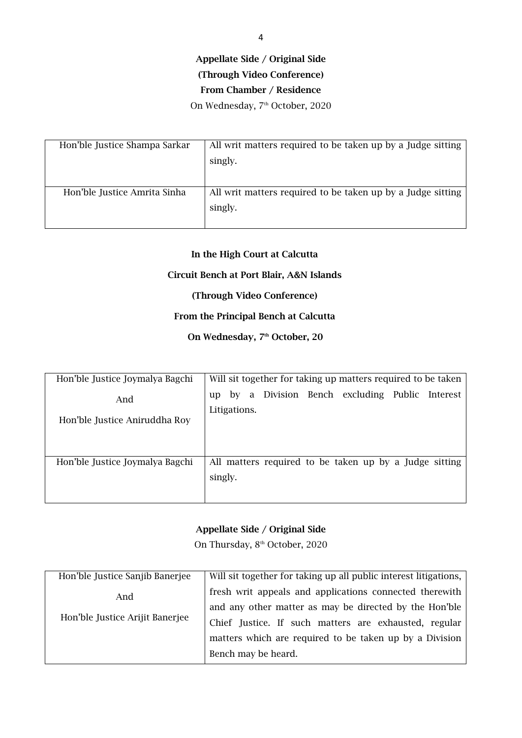## **(Through Video Conference)**

**From Chamber / Residence**

On Wednesday, 7<sup>th</sup> October, 2020

| Hon'ble Justice Shampa Sarkar | All writ matters required to be taken up by a Judge sitting<br>singly. |
|-------------------------------|------------------------------------------------------------------------|
| Hon'ble Justice Amrita Sinha  | All writ matters required to be taken up by a Judge sitting<br>singly. |

## **In the High Court at Calcutta**

#### **Circuit Bench at Port Blair, A&N Islands**

#### **(Through Video Conference)**

## **From the Principal Bench at Calcutta**

## **On Wednesday, 7th October, 20**

| Hon'ble Justice Joymalya Bagchi      | Will sit together for taking up matters required to be taken            |
|--------------------------------------|-------------------------------------------------------------------------|
| And<br>Hon'ble Justice Aniruddha Roy | Division Bench excluding Public Interest<br>by a<br>up.<br>Litigations. |
| Hon'ble Justice Joymalya Bagchi      | All matters required to be taken up by a Judge sitting<br>singly.       |

## **Appellate Side / Original Side**

On Thursday, 8<sup>th</sup> October, 2020

| Hon'ble Justice Sanjib Banerjee | Will sit together for taking up all public interest litigations, |
|---------------------------------|------------------------------------------------------------------|
| And                             | fresh writ appeals and applications connected therewith          |
| Hon'ble Justice Arijit Banerjee | and any other matter as may be directed by the Hon'ble           |
|                                 | Chief Justice. If such matters are exhausted, regular            |
|                                 | matters which are required to be taken up by a Division          |
|                                 | Bench may be heard.                                              |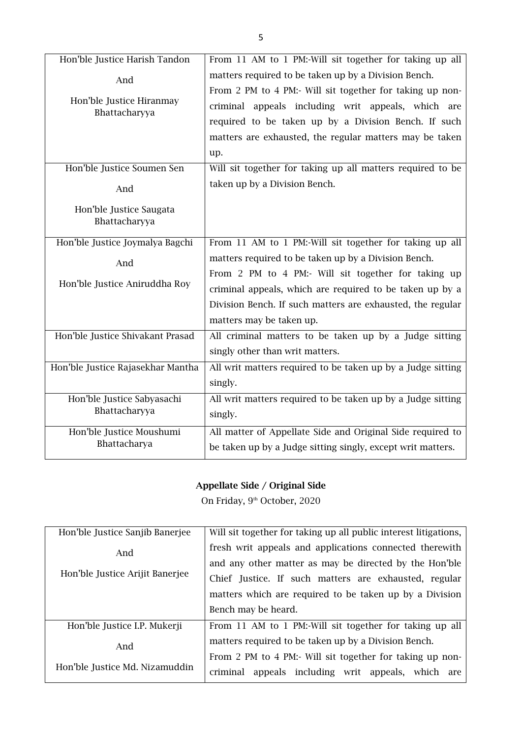| Hon'ble Justice Harish Tandon     | From 11 AM to 1 PM:-Will sit together for taking up all     |
|-----------------------------------|-------------------------------------------------------------|
| And                               | matters required to be taken up by a Division Bench.        |
|                                   | From 2 PM to 4 PM:- Will sit together for taking up non-    |
| Hon'ble Justice Hiranmay          | criminal appeals including writ appeals, which are          |
| Bhattacharyya                     | required to be taken up by a Division Bench. If such        |
|                                   | matters are exhausted, the regular matters may be taken     |
|                                   | up.                                                         |
| Hon'ble Justice Soumen Sen        | Will sit together for taking up all matters required to be  |
| And                               | taken up by a Division Bench.                               |
| Hon'ble Justice Saugata           |                                                             |
| Bhattacharyya                     |                                                             |
| Hon'ble Justice Joymalya Bagchi   | From 11 AM to 1 PM:-Will sit together for taking up all     |
| And                               | matters required to be taken up by a Division Bench.        |
|                                   | From 2 PM to 4 PM:- Will sit together for taking up         |
| Hon'ble Justice Aniruddha Roy     | criminal appeals, which are required to be taken up by a    |
|                                   | Division Bench. If such matters are exhausted, the regular  |
|                                   | matters may be taken up.                                    |
| Hon'ble Justice Shivakant Prasad  | All criminal matters to be taken up by a Judge sitting      |
|                                   | singly other than writ matters.                             |
| Hon'ble Justice Rajasekhar Mantha | All writ matters required to be taken up by a Judge sitting |
|                                   | singly.                                                     |
| Hon'ble Justice Sabyasachi        | All writ matters required to be taken up by a Judge sitting |
| Bhattacharyya                     |                                                             |
|                                   | singly.                                                     |
| Hon'ble Justice Moushumi          | All matter of Appellate Side and Original Side required to  |
| Bhattacharya                      | be taken up by a Judge sitting singly, except writ matters. |

On Friday, 9<sup>th</sup> October, 2020

| Hon'ble Justice Sanjib Banerjee | Will sit together for taking up all public interest litigations, |  |  |  |  |  |  |  |
|---------------------------------|------------------------------------------------------------------|--|--|--|--|--|--|--|
| And                             | fresh writ appeals and applications connected therewith          |  |  |  |  |  |  |  |
|                                 | and any other matter as may be directed by the Hon'ble           |  |  |  |  |  |  |  |
| Hon'ble Justice Arijit Banerjee | Chief Justice. If such matters are exhausted, regular            |  |  |  |  |  |  |  |
|                                 | matters which are required to be taken up by a Division          |  |  |  |  |  |  |  |
|                                 | Bench may be heard.                                              |  |  |  |  |  |  |  |
| Hon'ble Justice I.P. Mukerji    | From 11 AM to 1 PM:-Will sit together for taking up all          |  |  |  |  |  |  |  |
| And                             | matters required to be taken up by a Division Bench.             |  |  |  |  |  |  |  |
|                                 | From 2 PM to 4 PM:- Will sit together for taking up non-         |  |  |  |  |  |  |  |
| Hon'ble Justice Md. Nizamuddin  | criminal appeals including writ appeals, which are               |  |  |  |  |  |  |  |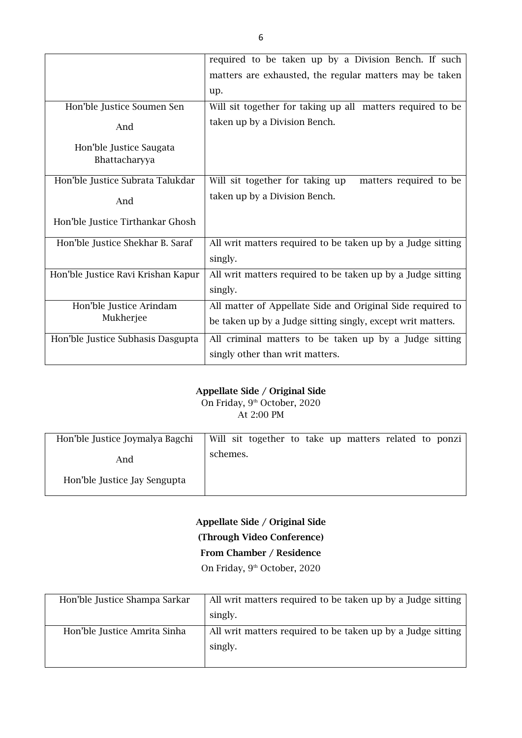|                                          | required to be taken up by a Division Bench. If such        |
|------------------------------------------|-------------------------------------------------------------|
|                                          | matters are exhausted, the regular matters may be taken     |
|                                          | up.                                                         |
| Hon'ble Justice Soumen Sen               | Will sit together for taking up all matters required to be  |
| And                                      | taken up by a Division Bench.                               |
| Hon'ble Justice Saugata<br>Bhattacharyya |                                                             |
| Hon'ble Justice Subrata Talukdar         | Will sit together for taking up<br>matters required to be   |
| And                                      | taken up by a Division Bench.                               |
| Hon'ble Justice Tirthankar Ghosh         |                                                             |
| Hon'ble Justice Shekhar B. Saraf         | All writ matters required to be taken up by a Judge sitting |
|                                          | singly.                                                     |
| Hon'ble Justice Ravi Krishan Kapur       | All writ matters required to be taken up by a Judge sitting |
|                                          | singly.                                                     |
| Hon'ble Justice Arindam                  | All matter of Appellate Side and Original Side required to  |
| Mukherjee                                | be taken up by a Judge sitting singly, except writ matters. |
| Hon'ble Justice Subhasis Dasgupta        | All criminal matters to be taken up by a Judge sitting      |
|                                          | singly other than writ matters.                             |

On Friday, 9<sup>th</sup> October, 2020 At 2:00 PM

| Hon'ble Justice Joymalya Bagchi |          | Will sit together to take up matters related to ponzi |  |  |  |  |
|---------------------------------|----------|-------------------------------------------------------|--|--|--|--|
|                                 |          |                                                       |  |  |  |  |
| And                             | schemes. |                                                       |  |  |  |  |
| Hon'ble Justice Jay Sengupta    |          |                                                       |  |  |  |  |

**Appellate Side / Original Side (Through Video Conference) From Chamber / Residence** On Friday, 9<sup>th</sup> October, 2020

| Hon'ble Justice Shampa Sarkar | All writ matters required to be taken up by a Judge sitting |
|-------------------------------|-------------------------------------------------------------|
|                               | singly.                                                     |
| Hon'ble Justice Amrita Sinha  | All writ matters required to be taken up by a Judge sitting |
|                               | singly.                                                     |
|                               |                                                             |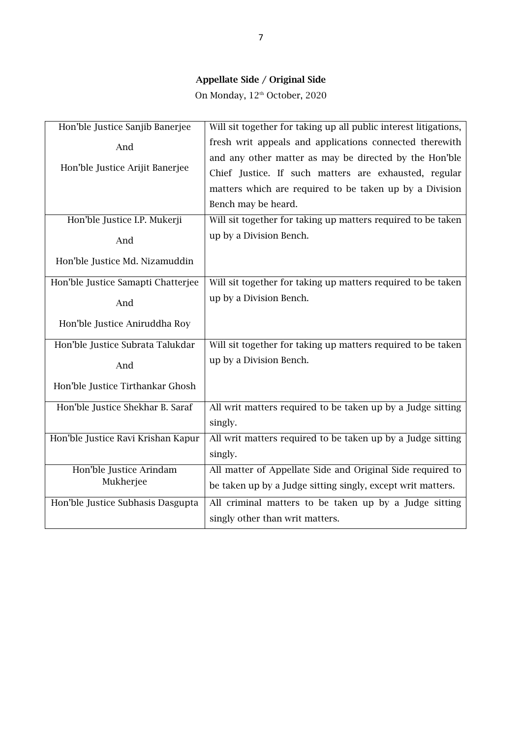On Monday,  $12^{\text{th}}$  October, 2020

| Hon'ble Justice Sanjib Banerjee    | Will sit together for taking up all public interest litigations, |
|------------------------------------|------------------------------------------------------------------|
| And                                | fresh writ appeals and applications connected therewith          |
|                                    | and any other matter as may be directed by the Hon'ble           |
| Hon'ble Justice Arijit Banerjee    | Chief Justice. If such matters are exhausted, regular            |
|                                    | matters which are required to be taken up by a Division          |
|                                    | Bench may be heard.                                              |
| Hon'ble Justice I.P. Mukerji       | Will sit together for taking up matters required to be taken     |
| And                                | up by a Division Bench.                                          |
| Hon'ble Justice Md. Nizamuddin     |                                                                  |
| Hon'ble Justice Samapti Chatterjee | Will sit together for taking up matters required to be taken     |
| And                                | up by a Division Bench.                                          |
| Hon'ble Justice Aniruddha Roy      |                                                                  |
| Hon'ble Justice Subrata Talukdar   | Will sit together for taking up matters required to be taken     |
| And                                | up by a Division Bench.                                          |
| Hon'ble Justice Tirthankar Ghosh   |                                                                  |
| Hon'ble Justice Shekhar B. Saraf   | All writ matters required to be taken up by a Judge sitting      |
|                                    | singly.                                                          |
| Hon'ble Justice Ravi Krishan Kapur | All writ matters required to be taken up by a Judge sitting      |
|                                    | singly.                                                          |
| Hon'ble Justice Arindam            | All matter of Appellate Side and Original Side required to       |
| Mukherjee                          | be taken up by a Judge sitting singly, except writ matters.      |
| Hon'ble Justice Subhasis Dasgupta  | All criminal matters to be taken up by a Judge sitting           |
|                                    | singly other than writ matters.                                  |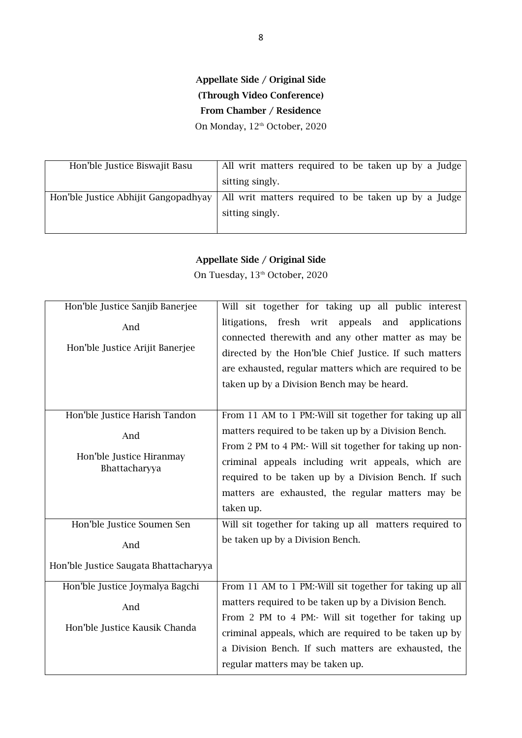## **Appellate Side / Original Side (Through Video Conference) From Chamber / Residence** On Monday, 12<sup>th</sup> October, 2020

| Hon'ble Justice Biswajit Basu        | All writ matters required to be taken up by a Judge |
|--------------------------------------|-----------------------------------------------------|
|                                      | sitting singly.                                     |
| Hon'ble Justice Abhijit Gangopadhyay | All writ matters required to be taken up by a Judge |
|                                      | sitting singly.                                     |
|                                      |                                                     |

## **Appellate Side / Original Side**

On Tuesday,  $13<sup>th</sup>$  October, 2020

| Hon'ble Justice Sanjib Banerjee           | Will sit together for taking up all public interest                                                             |
|-------------------------------------------|-----------------------------------------------------------------------------------------------------------------|
| And                                       | litigations, fresh writ<br>appeals<br>and<br>applications<br>connected therewith and any other matter as may be |
| Hon'ble Justice Arijit Banerjee           | directed by the Hon'ble Chief Justice. If such matters                                                          |
|                                           | are exhausted, regular matters which are required to be                                                         |
|                                           | taken up by a Division Bench may be heard.                                                                      |
|                                           |                                                                                                                 |
|                                           |                                                                                                                 |
| Hon'ble Justice Harish Tandon             | From 11 AM to 1 PM:-Will sit together for taking up all                                                         |
| And                                       | matters required to be taken up by a Division Bench.                                                            |
|                                           | From 2 PM to 4 PM:- Will sit together for taking up non-                                                        |
| Hon'ble Justice Hiranmay<br>Bhattacharyya | criminal appeals including writ appeals, which are                                                              |
|                                           | required to be taken up by a Division Bench. If such                                                            |
|                                           | matters are exhausted, the regular matters may be                                                               |
|                                           | taken up.                                                                                                       |
| Hon'ble Justice Soumen Sen                | Will sit together for taking up all matters required to                                                         |
| And                                       | be taken up by a Division Bench.                                                                                |
| Hon'ble Justice Saugata Bhattacharyya     |                                                                                                                 |
| Hon'ble Justice Joymalya Bagchi           | From 11 AM to 1 PM:-Will sit together for taking up all                                                         |
| And                                       | matters required to be taken up by a Division Bench.                                                            |
|                                           | From 2 PM to 4 PM:- Will sit together for taking up                                                             |
| Hon'ble Justice Kausik Chanda             | criminal appeals, which are required to be taken up by                                                          |
|                                           | a Division Bench. If such matters are exhausted, the                                                            |
|                                           | regular matters may be taken up.                                                                                |
|                                           |                                                                                                                 |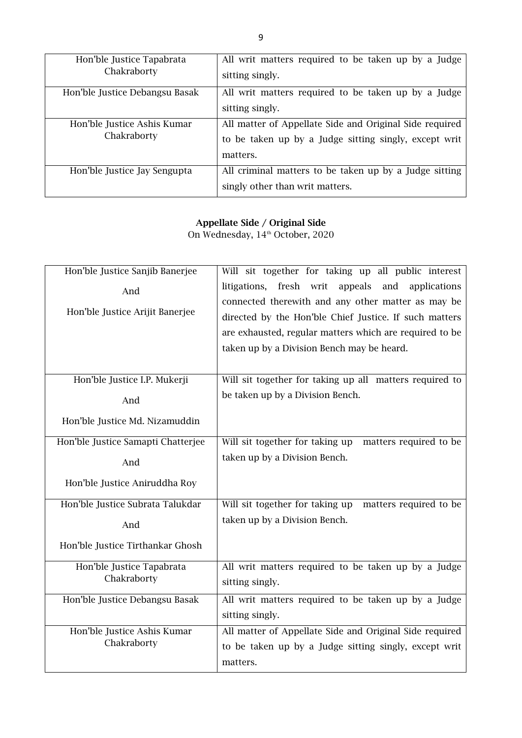| Hon'ble Justice Tapabrata<br>Chakraborty   | All writ matters required to be taken up by a Judge<br>sitting singly.                                                       |
|--------------------------------------------|------------------------------------------------------------------------------------------------------------------------------|
| Hon'ble Justice Debangsu Basak             | All writ matters required to be taken up by a Judge<br>sitting singly.                                                       |
| Hon'ble Justice Ashis Kumar<br>Chakraborty | All matter of Appellate Side and Original Side required<br>to be taken up by a Judge sitting singly, except writ<br>matters. |
| Hon'ble Justice Jay Sengupta               | All criminal matters to be taken up by a Judge sitting<br>singly other than writ matters.                                    |

On Wednesday, 14<sup>th</sup> October, 2020

| Hon'ble Justice Sanjib Banerjee    | Will sit together for taking up all public interest                                                                                                                                                                   |
|------------------------------------|-----------------------------------------------------------------------------------------------------------------------------------------------------------------------------------------------------------------------|
| And                                | litigations, fresh writ<br>appeals<br>and<br>applications                                                                                                                                                             |
| Hon'ble Justice Arijit Banerjee    | connected therewith and any other matter as may be<br>directed by the Hon'ble Chief Justice. If such matters<br>are exhausted, regular matters which are required to be<br>taken up by a Division Bench may be heard. |
| Hon'ble Justice I.P. Mukerji       | Will sit together for taking up all matters required to                                                                                                                                                               |
| And                                | be taken up by a Division Bench.                                                                                                                                                                                      |
| Hon'ble Justice Md. Nizamuddin     |                                                                                                                                                                                                                       |
| Hon'ble Justice Samapti Chatterjee | Will sit together for taking up<br>matters required to be                                                                                                                                                             |
| And                                | taken up by a Division Bench.                                                                                                                                                                                         |
| Hon'ble Justice Aniruddha Roy      |                                                                                                                                                                                                                       |
| Hon'ble Justice Subrata Talukdar   | Will sit together for taking up<br>matters required to be                                                                                                                                                             |
| And                                | taken up by a Division Bench.                                                                                                                                                                                         |
| Hon'ble Justice Tirthankar Ghosh   |                                                                                                                                                                                                                       |
| Hon'ble Justice Tapabrata          | All writ matters required to be taken up by a Judge                                                                                                                                                                   |
| Chakraborty                        | sitting singly.                                                                                                                                                                                                       |
| Hon'ble Justice Debangsu Basak     | All writ matters required to be taken up by a Judge                                                                                                                                                                   |
|                                    | sitting singly.                                                                                                                                                                                                       |
| Hon'ble Justice Ashis Kumar        | All matter of Appellate Side and Original Side required                                                                                                                                                               |
| Chakraborty                        | to be taken up by a Judge sitting singly, except writ                                                                                                                                                                 |
|                                    | matters.                                                                                                                                                                                                              |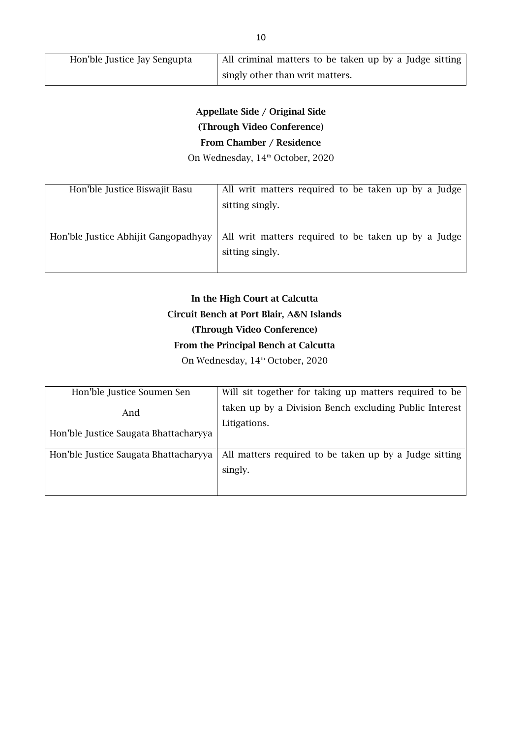| Hon'ble Justice Jay Sengupta | All criminal matters to be taken up by a Judge sitting |
|------------------------------|--------------------------------------------------------|
|                              | singly other than writ matters.                        |

# **Appellate Side / Original Side (Through Video Conference) From Chamber / Residence**

On Wednesday, 14<sup>th</sup> October, 2020

| Hon'ble Justice Biswajit Basu        | All writ matters required to be taken up by a Judge<br>sitting singly. |
|--------------------------------------|------------------------------------------------------------------------|
| Hon'ble Justice Abhijit Gangopadhyay | All writ matters required to be taken up by a Judge<br>sitting singly. |

# **In the High Court at Calcutta Circuit Bench at Port Blair, A&N Islands (Through Video Conference) From the Principal Bench at Calcutta**

On Wednesday, 14<sup>th</sup> October, 2020

| Hon'ble Justice Soumen Sen            | Will sit together for taking up matters required to be |
|---------------------------------------|--------------------------------------------------------|
| And                                   | taken up by a Division Bench excluding Public Interest |
|                                       | Litigations.                                           |
| Hon'ble Justice Saugata Bhattacharyya |                                                        |
| Hon'ble Justice Saugata Bhattacharyya | All matters required to be taken up by a Judge sitting |
|                                       |                                                        |
|                                       | singly.                                                |
|                                       |                                                        |
|                                       |                                                        |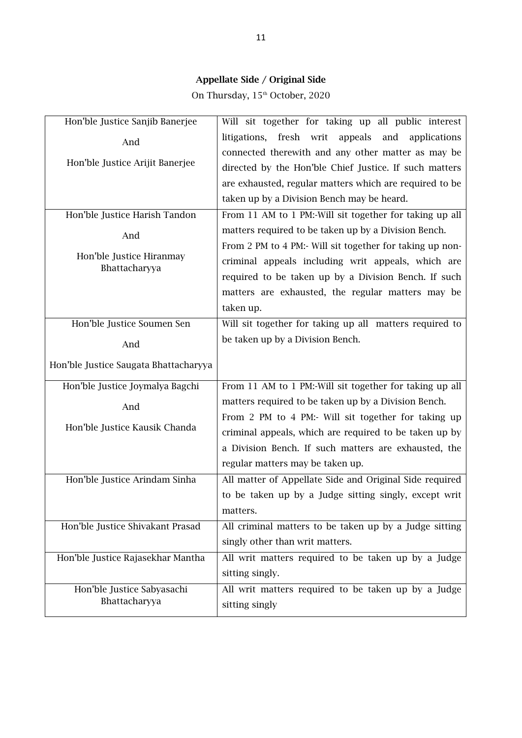On Thursday,  $15^{\textrm{\tiny th}}$  October, 2020

| Hon'ble Justice Sanjib Banerjee           | Will sit together for taking up all public interest       |
|-------------------------------------------|-----------------------------------------------------------|
| And                                       | litigations, fresh writ<br>appeals<br>and<br>applications |
|                                           | connected therewith and any other matter as may be        |
| Hon'ble Justice Arijit Banerjee           | directed by the Hon'ble Chief Justice. If such matters    |
|                                           | are exhausted, regular matters which are required to be   |
|                                           | taken up by a Division Bench may be heard.                |
| Hon'ble Justice Harish Tandon             | From 11 AM to 1 PM:-Will sit together for taking up all   |
| And                                       | matters required to be taken up by a Division Bench.      |
|                                           | From 2 PM to 4 PM:- Will sit together for taking up non-  |
| Hon'ble Justice Hiranmay<br>Bhattacharyya | criminal appeals including writ appeals, which are        |
|                                           | required to be taken up by a Division Bench. If such      |
|                                           | matters are exhausted, the regular matters may be         |
|                                           | taken up.                                                 |
| Hon'ble Justice Soumen Sen                | Will sit together for taking up all matters required to   |
| And                                       | be taken up by a Division Bench.                          |
| Hon'ble Justice Saugata Bhattacharyya     |                                                           |
| Hon'ble Justice Joymalya Bagchi           | From 11 AM to 1 PM:-Will sit together for taking up all   |
|                                           | matters required to be taken up by a Division Bench.      |
| And                                       | From 2 PM to 4 PM:- Will sit together for taking up       |
| Hon'ble Justice Kausik Chanda             | criminal appeals, which are required to be taken up by    |
|                                           | a Division Bench. If such matters are exhausted, the      |
|                                           | regular matters may be taken up.                          |
| Hon'ble Justice Arindam Sinha             | All matter of Appellate Side and Original Side required   |
|                                           | to be taken up by a Judge sitting singly, except writ     |
|                                           | matters.                                                  |
| Hon'ble Justice Shivakant Prasad          | All criminal matters to be taken up by a Judge sitting    |
|                                           | singly other than writ matters.                           |
| Hon'ble Justice Rajasekhar Mantha         | All writ matters required to be taken up by a Judge       |
|                                           | sitting singly.                                           |
| Hon'ble Justice Sabyasachi                | All writ matters required to be taken up by a Judge       |
| Bhattacharyya                             | sitting singly                                            |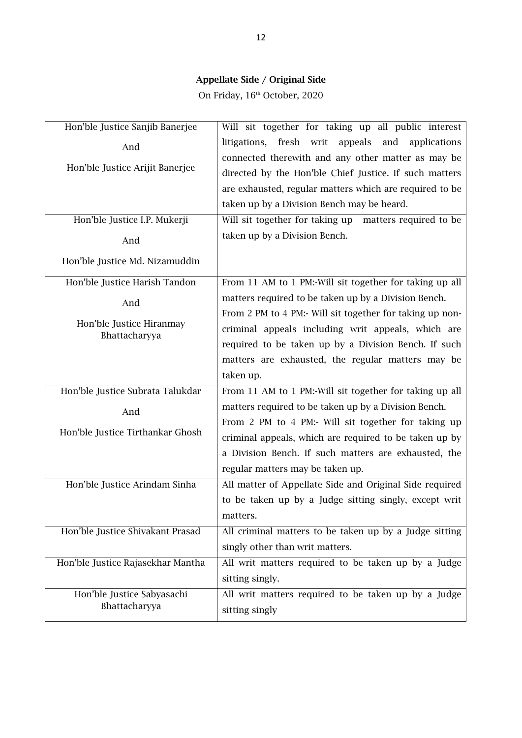On Friday,  $16^{\text{th}}$  October, 2020

| Hon'ble Justice Sanjib Banerjee           | Will sit together for taking up all public interest          |
|-------------------------------------------|--------------------------------------------------------------|
| And                                       | fresh writ<br>appeals<br>litigations,<br>and<br>applications |
|                                           | connected therewith and any other matter as may be           |
| Hon'ble Justice Arijit Banerjee           | directed by the Hon'ble Chief Justice. If such matters       |
|                                           | are exhausted, regular matters which are required to be      |
|                                           | taken up by a Division Bench may be heard.                   |
| Hon'ble Justice I.P. Mukerji              | Will sit together for taking up<br>matters required to be    |
| And                                       | taken up by a Division Bench.                                |
| Hon'ble Justice Md. Nizamuddin            |                                                              |
| Hon'ble Justice Harish Tandon             | From 11 AM to 1 PM:-Will sit together for taking up all      |
| And                                       | matters required to be taken up by a Division Bench.         |
|                                           | From 2 PM to 4 PM:- Will sit together for taking up non-     |
| Hon'ble Justice Hiranmay<br>Bhattacharyya | criminal appeals including writ appeals, which are           |
|                                           | required to be taken up by a Division Bench. If such         |
|                                           | matters are exhausted, the regular matters may be            |
|                                           | taken up.                                                    |
| Hon'ble Justice Subrata Talukdar          | From 11 AM to 1 PM:-Will sit together for taking up all      |
|                                           |                                                              |
|                                           | matters required to be taken up by a Division Bench.         |
| And                                       | From 2 PM to 4 PM:- Will sit together for taking up          |
| Hon'ble Justice Tirthankar Ghosh          | criminal appeals, which are required to be taken up by       |
|                                           | a Division Bench. If such matters are exhausted, the         |
|                                           | regular matters may be taken up.                             |
| Hon'ble Justice Arindam Sinha             | All matter of Appellate Side and Original Side required      |
|                                           | to be taken up by a Judge sitting singly, except writ        |
|                                           | matters.                                                     |
| Hon'ble Justice Shivakant Prasad          | All criminal matters to be taken up by a Judge sitting       |
|                                           | singly other than writ matters.                              |
| Hon'ble Justice Rajasekhar Mantha         | All writ matters required to be taken up by a Judge          |
|                                           | sitting singly.                                              |
| Hon'ble Justice Sabyasachi                | All writ matters required to be taken up by a Judge          |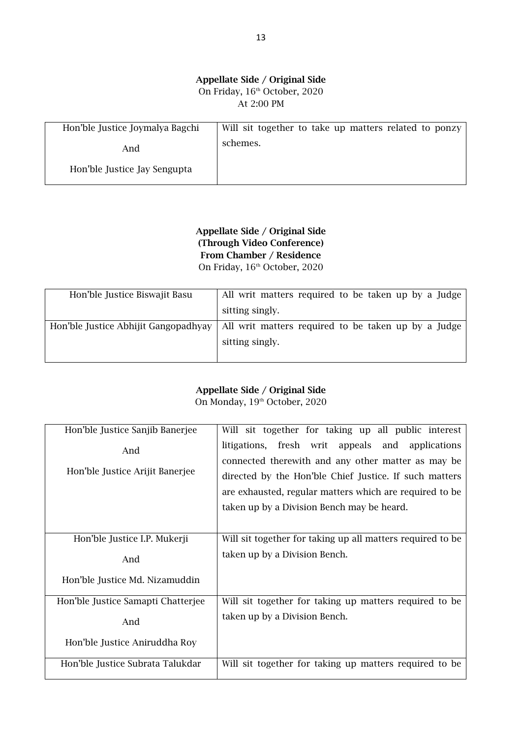#### **Appellate Side / Original Side** On Friday,  $16<sup>th</sup>$  October, 2020 At 2:00 PM

| Hon'ble Justice Joymalya Bagchi | Will sit together to take up matters related to ponzy |
|---------------------------------|-------------------------------------------------------|
| And                             | schemes.                                              |
| Hon'ble Justice Jay Sengupta    |                                                       |

**Appellate Side / Original Side (Through Video Conference) From Chamber / Residence** On Friday, 16<sup>th</sup> October, 2020

| Hon'ble Justice Biswajit Basu        | All writ matters required to be taken up by a Judge |
|--------------------------------------|-----------------------------------------------------|
|                                      | sitting singly.                                     |
| Hon'ble Justice Abhijit Gangopadhyay | All writ matters required to be taken up by a Judge |
|                                      | sitting singly.                                     |
|                                      |                                                     |

## **Appellate Side / Original Side**

On Monday, 19<sup>th</sup> October, 2020

| Hon'ble Justice Sanjib Banerjee    | Will sit together for taking up all public interest         |
|------------------------------------|-------------------------------------------------------------|
| And                                | litigations, fresh writ appeals and applications            |
|                                    | connected therewith and any other matter as may be          |
| Hon'ble Justice Arijit Banerjee    | directed by the Hon'ble Chief Justice. If such matters      |
|                                    | are exhausted, regular matters which are required to be     |
|                                    | taken up by a Division Bench may be heard.                  |
|                                    |                                                             |
| Hon'ble Justice I.P. Mukerji       | Will sit together for taking up all matters required to be. |
| And                                | taken up by a Division Bench.                               |
| Hon'ble Justice Md. Nizamuddin     |                                                             |
| Hon'ble Justice Samapti Chatterjee | Will sit together for taking up matters required to be      |
| And                                | taken up by a Division Bench.                               |
| Hon'ble Justice Aniruddha Roy      |                                                             |
| Hon'ble Justice Subrata Talukdar   | Will sit together for taking up matters required to be      |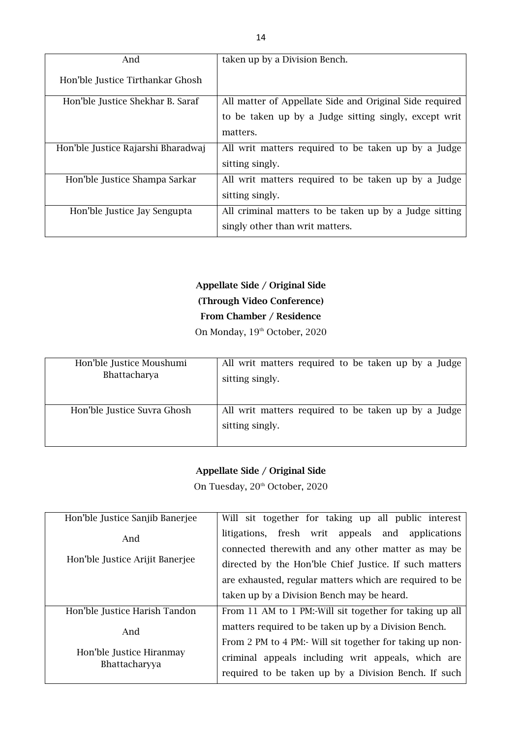| And                                | taken up by a Division Bench.                           |
|------------------------------------|---------------------------------------------------------|
| Hon'ble Justice Tirthankar Ghosh   |                                                         |
| Hon'ble Justice Shekhar B. Saraf   | All matter of Appellate Side and Original Side required |
|                                    | to be taken up by a Judge sitting singly, except writ   |
|                                    | matters.                                                |
| Hon'ble Justice Rajarshi Bharadwaj | All writ matters required to be taken up by a Judge     |
|                                    | sitting singly.                                         |
| Hon'ble Justice Shampa Sarkar      | All writ matters required to be taken up by a Judge     |
|                                    | sitting singly.                                         |
| Hon'ble Justice Jay Sengupta       | All criminal matters to be taken up by a Judge sitting  |
|                                    | singly other than writ matters.                         |

# **Appellate Side / Original Side (Through Video Conference) From Chamber / Residence**

On Monday, 19<sup>th</sup> October, 2020

| Hon'ble Justice Moushumi    | All writ matters required to be taken up by a Judge                    |
|-----------------------------|------------------------------------------------------------------------|
| Bhattacharya                | sitting singly.                                                        |
| Hon'ble Justice Suvra Ghosh | All writ matters required to be taken up by a Judge<br>sitting singly. |

## **Appellate Side / Original Side**

On Tuesday, 20<sup>th</sup> October, 2020

| Hon'ble Justice Sanjib Banerjee           | Will sit together for taking up all public interest      |
|-------------------------------------------|----------------------------------------------------------|
| And                                       | litigations, fresh writ appeals<br>and applications      |
|                                           | connected therewith and any other matter as may be       |
| Hon'ble Justice Arijit Banerjee           | directed by the Hon'ble Chief Justice. If such matters   |
|                                           | are exhausted, regular matters which are required to be  |
|                                           | taken up by a Division Bench may be heard.               |
| Hon'ble Justice Harish Tandon             | From 11 AM to 1 PM:-Will sit together for taking up all  |
| And                                       | matters required to be taken up by a Division Bench.     |
|                                           | From 2 PM to 4 PM:- Will sit together for taking up non- |
| Hon'ble Justice Hiranmay<br>Bhattacharyya | criminal appeals including writ appeals, which are       |
|                                           | required to be taken up by a Division Bench. If such     |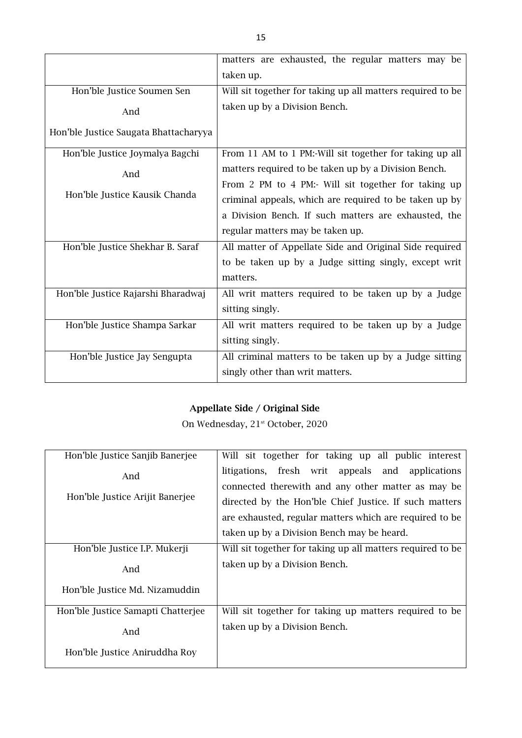|                                       | matters are exhausted, the regular matters may be          |
|---------------------------------------|------------------------------------------------------------|
|                                       | taken up.                                                  |
| Hon'ble Justice Soumen Sen            | Will sit together for taking up all matters required to be |
| And                                   | taken up by a Division Bench.                              |
| Hon'ble Justice Saugata Bhattacharyya |                                                            |
| Hon'ble Justice Joymalya Bagchi       | From 11 AM to 1 PM:-Will sit together for taking up all    |
| And                                   | matters required to be taken up by a Division Bench.       |
|                                       | From 2 PM to 4 PM:- Will sit together for taking up        |
| Hon'ble Justice Kausik Chanda         | criminal appeals, which are required to be taken up by     |
|                                       | a Division Bench. If such matters are exhausted, the       |
|                                       | regular matters may be taken up.                           |
| Hon'ble Justice Shekhar B. Saraf      | All matter of Appellate Side and Original Side required    |
|                                       | to be taken up by a Judge sitting singly, except writ      |
|                                       | matters.                                                   |
| Hon'ble Justice Rajarshi Bharadwaj    | All writ matters required to be taken up by a Judge        |
|                                       | sitting singly.                                            |
| Hon'ble Justice Shampa Sarkar         | All writ matters required to be taken up by a Judge        |
|                                       | sitting singly.                                            |
| Hon'ble Justice Jay Sengupta          | All criminal matters to be taken up by a Judge sitting     |
|                                       | singly other than writ matters.                            |

On Wednesday, 21<sup>st</sup> October, 2020

| Hon'ble Justice Sanjib Banerjee    | Will sit together for taking up all public interest        |
|------------------------------------|------------------------------------------------------------|
| And                                | litigations, fresh writ appeals and<br>applications        |
|                                    | connected therewith and any other matter as may be         |
| Hon'ble Justice Arijit Banerjee    | directed by the Hon'ble Chief Justice. If such matters     |
|                                    | are exhausted, regular matters which are required to be    |
|                                    | taken up by a Division Bench may be heard.                 |
| Hon'ble Justice I.P. Mukerji       | Will sit together for taking up all matters required to be |
| And                                | taken up by a Division Bench.                              |
| Hon'ble Justice Md. Nizamuddin     |                                                            |
| Hon'ble Justice Samapti Chatterjee | Will sit together for taking up matters required to be     |
| And                                | taken up by a Division Bench.                              |
|                                    |                                                            |
| Hon'ble Justice Aniruddha Roy      |                                                            |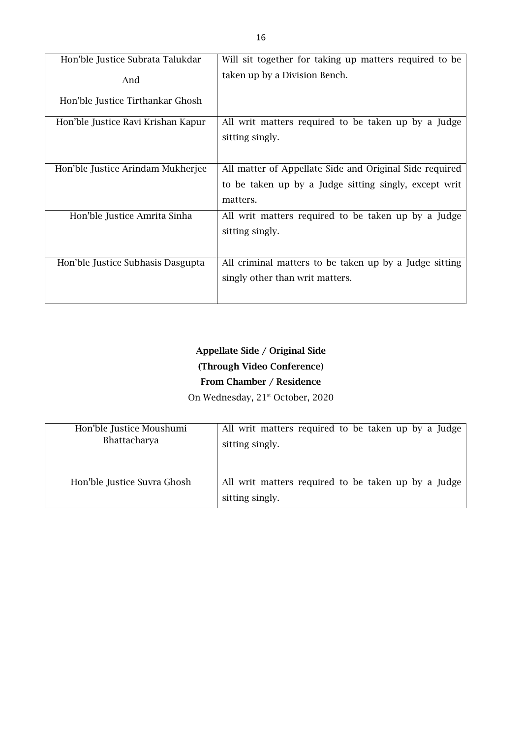| Hon'ble Justice Subrata Talukdar   | Will sit together for taking up matters required to be  |
|------------------------------------|---------------------------------------------------------|
| And                                | taken up by a Division Bench.                           |
| Hon'ble Justice Tirthankar Ghosh   |                                                         |
| Hon'ble Justice Ravi Krishan Kapur | All writ matters required to be taken up by a Judge     |
|                                    | sitting singly.                                         |
|                                    |                                                         |
| Hon'ble Justice Arindam Mukherjee  | All matter of Appellate Side and Original Side required |
|                                    | to be taken up by a Judge sitting singly, except writ   |
|                                    | matters.                                                |
| Hon'ble Justice Amrita Sinha       | All writ matters required to be taken up by a Judge     |
|                                    | sitting singly.                                         |
|                                    |                                                         |
| Hon'ble Justice Subhasis Dasgupta  | All criminal matters to be taken up by a Judge sitting  |
|                                    | singly other than writ matters.                         |
|                                    |                                                         |

# **Appellate Side / Original Side (Through Video Conference)**

## **From Chamber / Residence** On Wednesday, 21<sup>st</sup> October, 2020

| Hon'ble Justice Moushumi<br>Bhattacharya | All writ matters required to be taken up by a Judge<br>sitting singly. |
|------------------------------------------|------------------------------------------------------------------------|
| Hon'ble Justice Suvra Ghosh              | All writ matters required to be taken up by a Judge<br>sitting singly. |